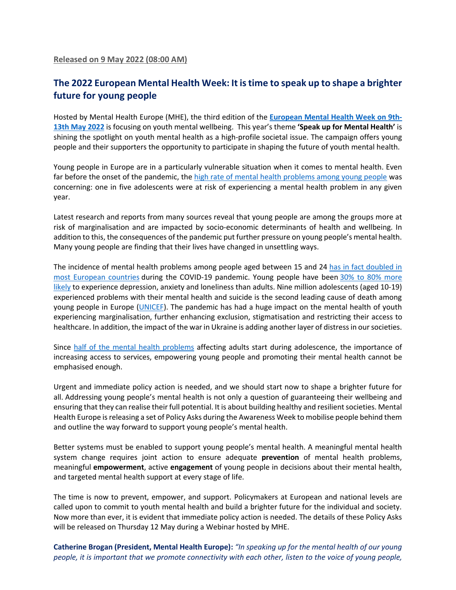## **The 2022 European Mental Health Week: It is time to speak up to shape a brighter future for young people**

Hosted by Mental Health Europe (MHE), the third edition of the **European Mental Health Week on 9th-13th May 2022** is focusing on youth mental wellbeing. This year's theme **'Speak up for Mental Health'** is shining the spotlight on youth mental health as a high-profile societal issue. The campaign offers young people and their supporters the opportunity to participate in shaping the future of youth mental health.

Young people in Europe are in a particularly vulnerable situation when it comes to mental health. Even far before the onset of the pandemic, the high rate of mental health problems among young people was concerning: one in five adolescents were at risk of experiencing a mental health problem in any given year.

Latest research and reports from many sources reveal that young people are among the groups more at risk of marginalisation and are impacted by socio-economic determinants of health and wellbeing. In addition to this, the consequences of the pandemic put further pressure on young people's mental health. Many young people are finding that their lives have changed in unsettling ways.

The incidence of mental health problems among people aged between 15 and 24 has in fact doubled in most European countries during the COVID-19 pandemic. Young people have been 30% to 80% more likely to experience depression, anxiety and loneliness than adults. Nine million adolescents (aged 10-19) experienced problems with their mental health and suicide is the second leading cause of death among young people in Europe (UNICEF). The pandemic has had a huge impact on the mental health of youth experiencing marginalisation, further enhancing exclusion, stigmatisation and restricting their access to healthcare. In addition, the impact of the war in Ukraine is adding another layer of distress in our societies.

Since half of the mental health problems affecting adults start during adolescence, the importance of increasing access to services, empowering young people and promoting their mental health cannot be emphasised enough.

Urgent and immediate policy action is needed, and we should start now to shape a brighter future for all. Addressing young people's mental health is not only a question of guaranteeing their wellbeing and ensuring that they can realise their full potential. It is about building healthy and resilient societies. Mental Health Europe is releasing a set of Policy Asks during the Awareness Week to mobilise people behind them and outline the way forward to support young people's mental health.

Better systems must be enabled to support young people's mental health. A meaningful mental health system change requires joint action to ensure adequate **prevention** of mental health problems, meaningful **empowerment**, active **engagement** of young people in decisions about their mental health, and targeted mental health support at every stage of life.

The time is now to prevent, empower, and support. Policymakers at European and national levels are called upon to commit to youth mental health and build a brighter future for the individual and society. Now more than ever, it is evident that immediate policy action is needed. The details of these Policy Asks will be released on Thursday 12 May during a Webinar hosted by MHE.

**Catherine Brogan (President, Mental Health Europe):** *"In speaking up for the mental health of our young people, it is important that we promote connectivity with each other, listen to the voice of young people,*